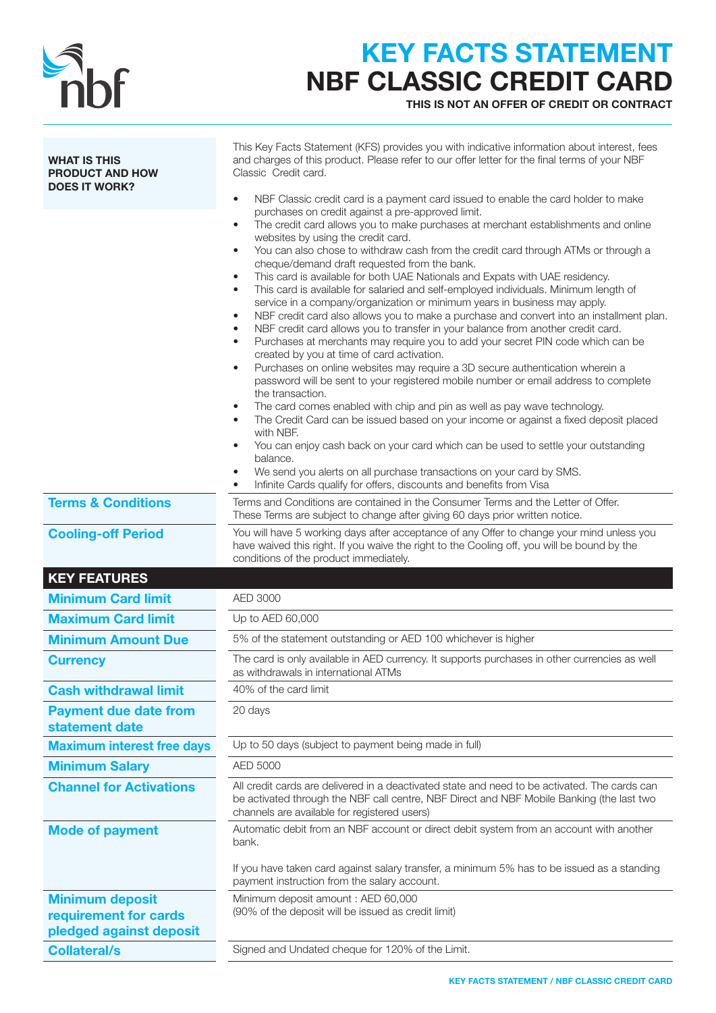

## KEY FACTS STATEMENT NBF CLASSIC CREDIT CARD

THIS IS NOT AN OFFER OF CREDIT OR CONTRACT

| <b>WHAT IS THIS</b><br><b>PRODUCT AND HOW</b><br><b>DOES IT WORK?</b> | This Key Facts Statement (KFS) provides you with indicative information about interest, fees<br>and charges of this product. Please refer to our offer letter for the final terms of your NBF<br>Classic Credit card.<br>NBF Classic credit card is a payment card issued to enable the card holder to make<br>$\bullet$                                                                                                                                                                                                                                                                                                                                                                                                                                                                                                                                                                                                                                                                                                                                                                                                                                                                                                                                                                                                                                                                                                                                                                                                                                                                                                                    |
|-----------------------------------------------------------------------|---------------------------------------------------------------------------------------------------------------------------------------------------------------------------------------------------------------------------------------------------------------------------------------------------------------------------------------------------------------------------------------------------------------------------------------------------------------------------------------------------------------------------------------------------------------------------------------------------------------------------------------------------------------------------------------------------------------------------------------------------------------------------------------------------------------------------------------------------------------------------------------------------------------------------------------------------------------------------------------------------------------------------------------------------------------------------------------------------------------------------------------------------------------------------------------------------------------------------------------------------------------------------------------------------------------------------------------------------------------------------------------------------------------------------------------------------------------------------------------------------------------------------------------------------------------------------------------------------------------------------------------------|
|                                                                       | purchases on credit against a pre-approved limit.<br>The credit card allows you to make purchases at merchant establishments and online<br>$\bullet$<br>websites by using the credit card.<br>You can also chose to withdraw cash from the credit card through ATMs or through a<br>$\bullet$<br>cheque/demand draft requested from the bank.<br>This card is available for both UAE Nationals and Expats with UAE residency.<br>$\bullet$<br>This card is available for salaried and self-employed individuals. Minimum length of<br>$\bullet$<br>service in a company/organization or minimum years in business may apply.<br>NBF credit card also allows you to make a purchase and convert into an installment plan.<br>NBF credit card allows you to transfer in your balance from another credit card.<br>$\bullet$<br>Purchases at merchants may require you to add your secret PIN code which can be<br>$\bullet$<br>created by you at time of card activation.<br>Purchases on online websites may require a 3D secure authentication wherein a<br>$\bullet$<br>password will be sent to your registered mobile number or email address to complete<br>the transaction.<br>The card comes enabled with chip and pin as well as pay wave technology.<br>$\bullet$<br>The Credit Card can be issued based on your income or against a fixed deposit placed<br>$\bullet$<br>with NBF.<br>You can enjoy cash back on your card which can be used to settle your outstanding<br>balance.<br>We send you alerts on all purchase transactions on your card by SMS.<br>Infinite Cards qualify for offers, discounts and benefits from Visa |
| <b>Terms &amp; Conditions</b>                                         | Terms and Conditions are contained in the Consumer Terms and the Letter of Offer.<br>These Terms are subject to change after giving 60 days prior written notice.                                                                                                                                                                                                                                                                                                                                                                                                                                                                                                                                                                                                                                                                                                                                                                                                                                                                                                                                                                                                                                                                                                                                                                                                                                                                                                                                                                                                                                                                           |
| <b>Cooling-off Period</b>                                             | You will have 5 working days after acceptance of any Offer to change your mind unless you<br>have waived this right. If you waive the right to the Cooling off, you will be bound by the<br>conditions of the product immediately.                                                                                                                                                                                                                                                                                                                                                                                                                                                                                                                                                                                                                                                                                                                                                                                                                                                                                                                                                                                                                                                                                                                                                                                                                                                                                                                                                                                                          |
| <b>KEY FEATURES</b>                                                   |                                                                                                                                                                                                                                                                                                                                                                                                                                                                                                                                                                                                                                                                                                                                                                                                                                                                                                                                                                                                                                                                                                                                                                                                                                                                                                                                                                                                                                                                                                                                                                                                                                             |
| <b>Minimum Card limit</b>                                             | AED 3000                                                                                                                                                                                                                                                                                                                                                                                                                                                                                                                                                                                                                                                                                                                                                                                                                                                                                                                                                                                                                                                                                                                                                                                                                                                                                                                                                                                                                                                                                                                                                                                                                                    |
| <b>Maximum Card limit</b>                                             | Up to AED 60,000                                                                                                                                                                                                                                                                                                                                                                                                                                                                                                                                                                                                                                                                                                                                                                                                                                                                                                                                                                                                                                                                                                                                                                                                                                                                                                                                                                                                                                                                                                                                                                                                                            |
| <b>Minimum Amount Due</b>                                             | 5% of the statement outstanding or AED 100 whichever is higher                                                                                                                                                                                                                                                                                                                                                                                                                                                                                                                                                                                                                                                                                                                                                                                                                                                                                                                                                                                                                                                                                                                                                                                                                                                                                                                                                                                                                                                                                                                                                                              |
| <b>Currency</b>                                                       | The card is only available in AED currency. It supports purchases in other currencies as well                                                                                                                                                                                                                                                                                                                                                                                                                                                                                                                                                                                                                                                                                                                                                                                                                                                                                                                                                                                                                                                                                                                                                                                                                                                                                                                                                                                                                                                                                                                                               |
|                                                                       | as withdrawals in international ATMs                                                                                                                                                                                                                                                                                                                                                                                                                                                                                                                                                                                                                                                                                                                                                                                                                                                                                                                                                                                                                                                                                                                                                                                                                                                                                                                                                                                                                                                                                                                                                                                                        |
| <b>Cash withdrawal limit</b>                                          | 40% of the card limit                                                                                                                                                                                                                                                                                                                                                                                                                                                                                                                                                                                                                                                                                                                                                                                                                                                                                                                                                                                                                                                                                                                                                                                                                                                                                                                                                                                                                                                                                                                                                                                                                       |
| <b>Payment due date from</b><br>statement date                        | 20 days                                                                                                                                                                                                                                                                                                                                                                                                                                                                                                                                                                                                                                                                                                                                                                                                                                                                                                                                                                                                                                                                                                                                                                                                                                                                                                                                                                                                                                                                                                                                                                                                                                     |
| <b>Maximum interest free days</b>                                     | Up to 50 days (subject to payment being made in full)                                                                                                                                                                                                                                                                                                                                                                                                                                                                                                                                                                                                                                                                                                                                                                                                                                                                                                                                                                                                                                                                                                                                                                                                                                                                                                                                                                                                                                                                                                                                                                                       |
| <b>Minimum Salary</b>                                                 | AED 5000                                                                                                                                                                                                                                                                                                                                                                                                                                                                                                                                                                                                                                                                                                                                                                                                                                                                                                                                                                                                                                                                                                                                                                                                                                                                                                                                                                                                                                                                                                                                                                                                                                    |
| <b>Channel for Activations</b>                                        | All credit cards are delivered in a deactivated state and need to be activated. The cards can<br>be activated through the NBF call centre, NBF Direct and NBF Mobile Banking (the last two<br>channels are available for registered users)                                                                                                                                                                                                                                                                                                                                                                                                                                                                                                                                                                                                                                                                                                                                                                                                                                                                                                                                                                                                                                                                                                                                                                                                                                                                                                                                                                                                  |
| <b>Mode of payment</b>                                                | Automatic debit from an NBF account or direct debit system from an account with another<br>bank.<br>If you have taken card against salary transfer, a minimum 5% has to be issued as a standing<br>payment instruction from the salary account.                                                                                                                                                                                                                                                                                                                                                                                                                                                                                                                                                                                                                                                                                                                                                                                                                                                                                                                                                                                                                                                                                                                                                                                                                                                                                                                                                                                             |
| <b>Minimum deposit</b><br>requirement for cards                       | Minimum deposit amount : AED 60,000<br>(90% of the deposit will be issued as credit limit)                                                                                                                                                                                                                                                                                                                                                                                                                                                                                                                                                                                                                                                                                                                                                                                                                                                                                                                                                                                                                                                                                                                                                                                                                                                                                                                                                                                                                                                                                                                                                  |
| pledged against deposit<br><b>Collateral/s</b>                        | Signed and Undated cheque for 120% of the Limit.                                                                                                                                                                                                                                                                                                                                                                                                                                                                                                                                                                                                                                                                                                                                                                                                                                                                                                                                                                                                                                                                                                                                                                                                                                                                                                                                                                                                                                                                                                                                                                                            |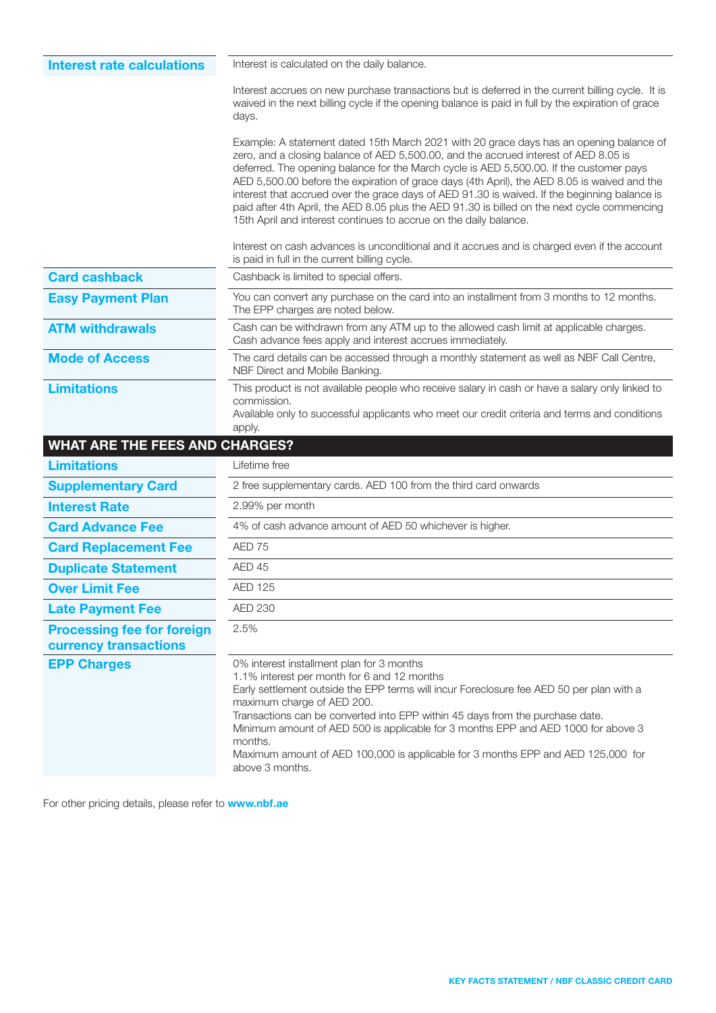| <b>Interest rate calculations</b>                          | Interest is calculated on the daily balance.                                                                                                                                                                                                                                                                                                                                                                                                                                                                                                                                                                                                     |
|------------------------------------------------------------|--------------------------------------------------------------------------------------------------------------------------------------------------------------------------------------------------------------------------------------------------------------------------------------------------------------------------------------------------------------------------------------------------------------------------------------------------------------------------------------------------------------------------------------------------------------------------------------------------------------------------------------------------|
|                                                            | Interest accrues on new purchase transactions but is deferred in the current billing cycle. It is<br>waived in the next billing cycle if the opening balance is paid in full by the expiration of grace<br>days.                                                                                                                                                                                                                                                                                                                                                                                                                                 |
|                                                            | Example: A statement dated 15th March 2021 with 20 grace days has an opening balance of<br>zero, and a closing balance of AED 5,500.00, and the accrued interest of AED 8.05 is<br>deferred. The opening balance for the March cycle is AED 5,500.00. If the customer pays<br>AED 5,500.00 before the expiration of grace days (4th April), the AED 8.05 is waived and the<br>interest that accrued over the grace days of AED 91.30 is waived. If the beginning balance is<br>paid after 4th April, the AED 8.05 plus the AED 91.30 is billed on the next cycle commencing<br>15th April and interest continues to accrue on the daily balance. |
|                                                            | Interest on cash advances is unconditional and it accrues and is charged even if the account<br>is paid in full in the current billing cycle.                                                                                                                                                                                                                                                                                                                                                                                                                                                                                                    |
| <b>Card cashback</b>                                       | Cashback is limited to special offers.                                                                                                                                                                                                                                                                                                                                                                                                                                                                                                                                                                                                           |
| <b>Easy Payment Plan</b>                                   | You can convert any purchase on the card into an installment from 3 months to 12 months.<br>The EPP charges are noted below.                                                                                                                                                                                                                                                                                                                                                                                                                                                                                                                     |
| <b>ATM withdrawals</b>                                     | Cash can be withdrawn from any ATM up to the allowed cash limit at applicable charges.<br>Cash advance fees apply and interest accrues immediately.                                                                                                                                                                                                                                                                                                                                                                                                                                                                                              |
| <b>Mode of Access</b>                                      | The card details can be accessed through a monthly statement as well as NBF Call Centre,<br>NBF Direct and Mobile Banking.                                                                                                                                                                                                                                                                                                                                                                                                                                                                                                                       |
| <b>Limitations</b>                                         | This product is not available people who receive salary in cash or have a salary only linked to<br>commission.<br>Available only to successful applicants who meet our credit criteria and terms and conditions<br>apply.                                                                                                                                                                                                                                                                                                                                                                                                                        |
| <b>WHAT ARE THE FEES AND CHARGES?</b>                      |                                                                                                                                                                                                                                                                                                                                                                                                                                                                                                                                                                                                                                                  |
| <b>Limitations</b>                                         | Lifetime free                                                                                                                                                                                                                                                                                                                                                                                                                                                                                                                                                                                                                                    |
| <b>Supplementary Card</b>                                  | 2 free supplementary cards. AED 100 from the third card onwards                                                                                                                                                                                                                                                                                                                                                                                                                                                                                                                                                                                  |
| <b>Interest Rate</b>                                       | 2.99% per month                                                                                                                                                                                                                                                                                                                                                                                                                                                                                                                                                                                                                                  |
| <b>Card Advance Fee</b>                                    | 4% of cash advance amount of AED 50 whichever is higher.                                                                                                                                                                                                                                                                                                                                                                                                                                                                                                                                                                                         |
| <b>Card Replacement Fee</b>                                | AED 75                                                                                                                                                                                                                                                                                                                                                                                                                                                                                                                                                                                                                                           |
| <b>Duplicate Statement</b>                                 | AED 45                                                                                                                                                                                                                                                                                                                                                                                                                                                                                                                                                                                                                                           |
| <b>Over Limit Fee</b>                                      | <b>AED 125</b>                                                                                                                                                                                                                                                                                                                                                                                                                                                                                                                                                                                                                                   |
| <b>Late Payment Fee</b>                                    | <b>AED 230</b>                                                                                                                                                                                                                                                                                                                                                                                                                                                                                                                                                                                                                                   |
| <b>Processing fee for foreign</b><br>currency transactions | 2.5%                                                                                                                                                                                                                                                                                                                                                                                                                                                                                                                                                                                                                                             |
| <b>EPP Charges</b>                                         | 0% interest installment plan for 3 months<br>1.1% interest per month for 6 and 12 months<br>Early settlement outside the EPP terms will incur Foreclosure fee AED 50 per plan with a<br>maximum charge of AED 200.<br>Transactions can be converted into EPP within 45 days from the purchase date.<br>Minimum amount of AED 500 is applicable for 3 months EPP and AED 1000 for above 3<br>months.<br>Maximum amount of AED 100,000 is applicable for 3 months EPP and AED 125,000 for<br>above 3 months.                                                                                                                                       |

For other pricing details, please refer to **www.nbf.ae**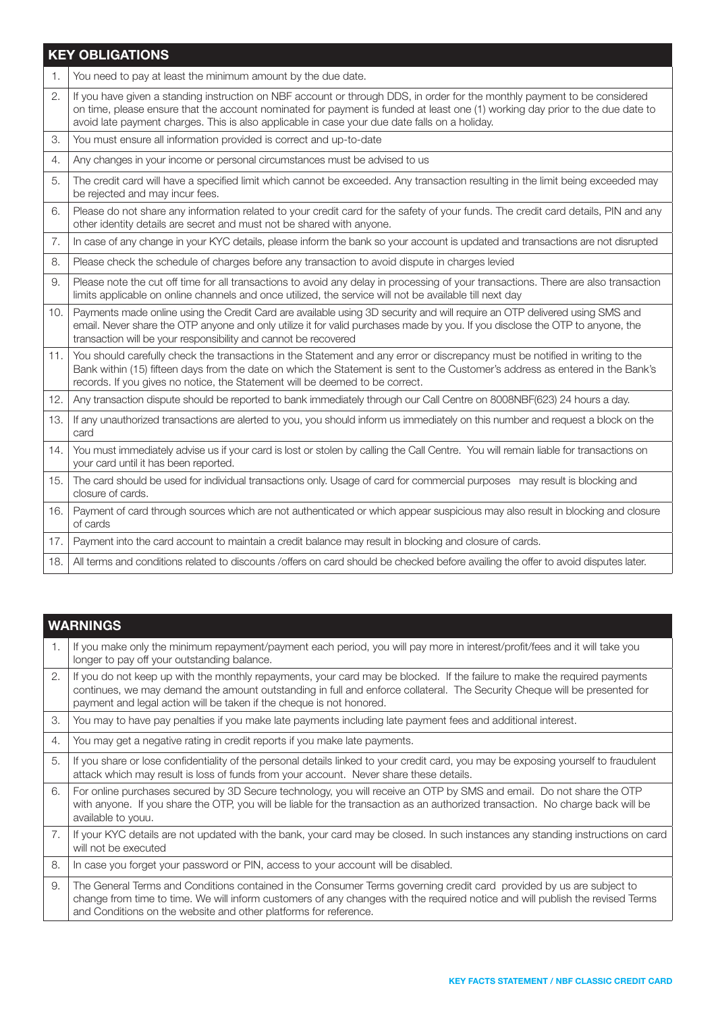### KEY OBLIGATIONS

|                | <b>NET OPLIGATIONS</b>                                                                                                                                                                                                                                                                                                                                      |
|----------------|-------------------------------------------------------------------------------------------------------------------------------------------------------------------------------------------------------------------------------------------------------------------------------------------------------------------------------------------------------------|
| $\mathbf{1}$ . | You need to pay at least the minimum amount by the due date.                                                                                                                                                                                                                                                                                                |
| 2.             | If you have given a standing instruction on NBF account or through DDS, in order for the monthly payment to be considered<br>on time, please ensure that the account nominated for payment is funded at least one (1) working day prior to the due date to<br>avoid late payment charges. This is also applicable in case your due date falls on a holiday. |
| 3.             | You must ensure all information provided is correct and up-to-date                                                                                                                                                                                                                                                                                          |
| 4.             | Any changes in your income or personal circumstances must be advised to us                                                                                                                                                                                                                                                                                  |
| 5.             | The credit card will have a specified limit which cannot be exceeded. Any transaction resulting in the limit being exceeded may<br>be rejected and may incur fees.                                                                                                                                                                                          |
| 6.             | Please do not share any information related to your credit card for the safety of your funds. The credit card details, PIN and any<br>other identity details are secret and must not be shared with anyone.                                                                                                                                                 |
| 7.             | In case of any change in your KYC details, please inform the bank so your account is updated and transactions are not disrupted                                                                                                                                                                                                                             |
| 8.             | Please check the schedule of charges before any transaction to avoid dispute in charges levied                                                                                                                                                                                                                                                              |
| 9.             | Please note the cut off time for all transactions to avoid any delay in processing of your transactions. There are also transaction<br>limits applicable on online channels and once utilized, the service will not be available till next day                                                                                                              |
| 10.            | Payments made online using the Credit Card are available using 3D security and will require an OTP delivered using SMS and<br>email. Never share the OTP anyone and only utilize it for valid purchases made by you. If you disclose the OTP to anyone, the<br>transaction will be your responsibility and cannot be recovered                              |
| 11.            | You should carefully check the transactions in the Statement and any error or discrepancy must be notified in writing to the<br>Bank within (15) fifteen days from the date on which the Statement is sent to the Customer's address as entered in the Bank's<br>records. If you gives no notice, the Statement will be deemed to be correct.               |
| 12.            | Any transaction dispute should be reported to bank immediately through our Call Centre on 8008NBF(623) 24 hours a day.                                                                                                                                                                                                                                      |
| 13.            | If any unauthorized transactions are alerted to you, you should inform us immediately on this number and request a block on the<br>card                                                                                                                                                                                                                     |
| 14.            | You must immediately advise us if your card is lost or stolen by calling the Call Centre. You will remain liable for transactions on<br>your card until it has been reported.                                                                                                                                                                               |
| 15.            | The card should be used for individual transactions only. Usage of card for commercial purposes may result is blocking and<br>closure of cards.                                                                                                                                                                                                             |
| 16.            | Payment of card through sources which are not authenticated or which appear suspicious may also result in blocking and closure<br>of cards                                                                                                                                                                                                                  |
| 17.            | Payment into the card account to maintain a credit balance may result in blocking and closure of cards.                                                                                                                                                                                                                                                     |
| 18.            | All terms and conditions related to discounts /offers on card should be checked before availing the offer to avoid disputes later.                                                                                                                                                                                                                          |
|                |                                                                                                                                                                                                                                                                                                                                                             |

|    | <b>WARNINGS</b>                                                                                                                                                                                                                                                                                                                |
|----|--------------------------------------------------------------------------------------------------------------------------------------------------------------------------------------------------------------------------------------------------------------------------------------------------------------------------------|
| 1. | If you make only the minimum repayment/payment each period, you will pay more in interest/profit/fees and it will take you<br>longer to pay off your outstanding balance.                                                                                                                                                      |
| 2. | If you do not keep up with the monthly repayments, your card may be blocked. If the failure to make the required payments<br>continues, we may demand the amount outstanding in full and enforce collateral. The Security Cheque will be presented for<br>payment and legal action will be taken if the cheque is not honored. |
| 3. | You may to have pay penalties if you make late payments including late payment fees and additional interest.                                                                                                                                                                                                                   |
| 4. | You may get a negative rating in credit reports if you make late payments.                                                                                                                                                                                                                                                     |
| 5. | If you share or lose confidentiality of the personal details linked to your credit card, you may be exposing yourself to fraudulent<br>attack which may result is loss of funds from your account. Never share these details.                                                                                                  |
| 6. | For online purchases secured by 3D Secure technology, you will receive an OTP by SMS and email. Do not share the OTP<br>with anyone. If you share the OTP, you will be liable for the transaction as an authorized transaction. No charge back will be<br>available to youu.                                                   |
| 7. | If your KYC details are not updated with the bank, your card may be closed. In such instances any standing instructions on card<br>will not be executed                                                                                                                                                                        |
| 8. | In case you forget your password or PIN, access to your account will be disabled.                                                                                                                                                                                                                                              |
| 9. | The General Terms and Conditions contained in the Consumer Terms governing credit card provided by us are subject to<br>change from time to time. We will inform customers of any changes with the required notice and will publish the revised Terms<br>and Conditions on the website and other platforms for reference.      |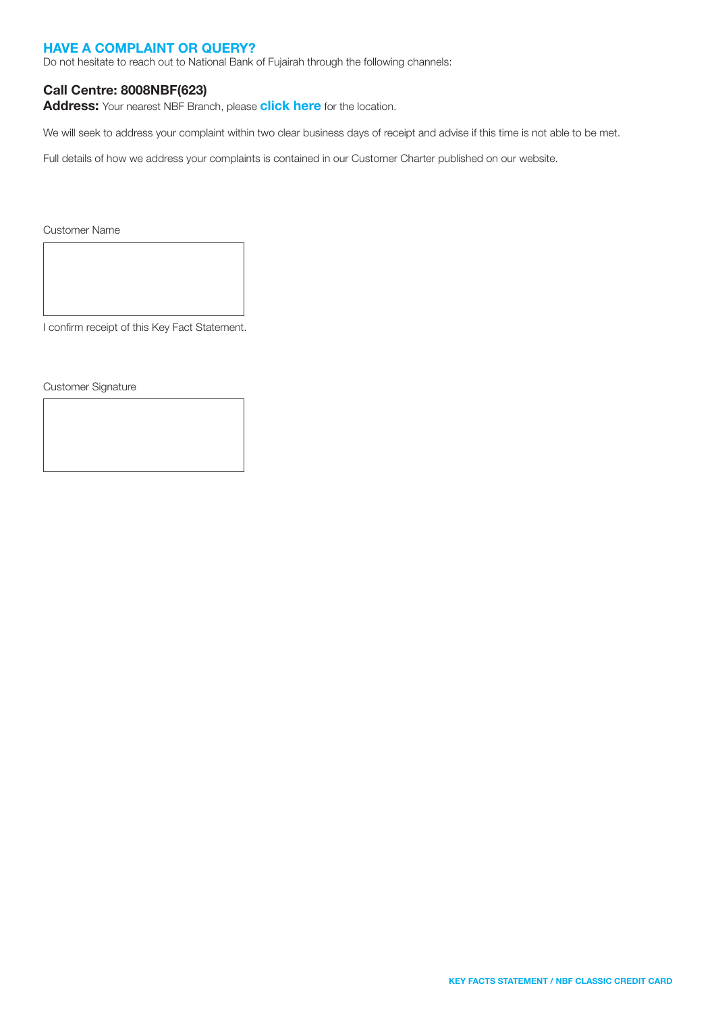### HAVE A COMPLAINT OR QUERY?

Do not hesitate to reach out to National Bank of Fujairah through the following channels:

### Call Centre: 8008NBF(623)

Address: Your nearest NBF Branch, please [click here](https://nbf.ae/en/contact/locations) for the location.

We will seek to address your complaint within two clear business days of receipt and advise if this time is not able to be met.

Full details of how we address your complaints is contained in our Customer Charter published on our website.

Customer Name

I confirm receipt of this Key Fact Statement.

Customer Signature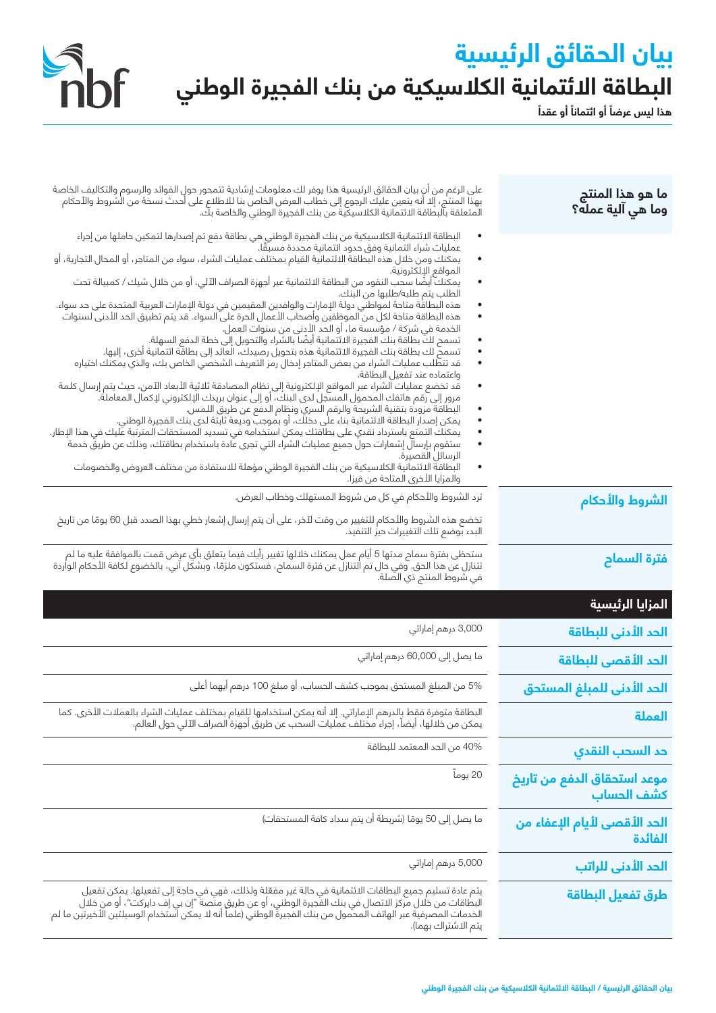# **بيان الحقائق الرئيسية ً البطاقة االئتمانية الكالسيكية من بنك الفجيرة الوطني**

Shof

هذا ليس عرضاً أو ائتماناً أو عقداً

| ما هو هذا المنتج<br>وما هي آلية عمله؟     | على الرغم من أن بيان الحقائق الرئيسية هذا يوفر لك معلومات إرشادية تتمحور حول الفوائد والرسوم والتكاليف الخاصة<br>بهذا المنتج، إلا أنه يتعين عليك الرجوع إلى خطاب العرض الخاص بنا للاطلاع على أحدث نسخة من الشروط والأحكام<br>"<br>المتعلقة بالبطاقة الائتمانية الكلاسيكية من بنك الفجيرة الوطني والخاصة بكّ.                                                                                                                                                                                                                                                                                                                                                                                                                                                                                                  |
|-------------------------------------------|---------------------------------------------------------------------------------------------------------------------------------------------------------------------------------------------------------------------------------------------------------------------------------------------------------------------------------------------------------------------------------------------------------------------------------------------------------------------------------------------------------------------------------------------------------------------------------------------------------------------------------------------------------------------------------------------------------------------------------------------------------------------------------------------------------------|
|                                           | البطاقة الائتمانية الكلاسيكية من بنك الفجيرة الوطني هي بطاقة دفع تم إصدارها لتمكين حاملها من إجراء<br>عمليات شراء ائتمانية وفق حدود ائتمانية محددة مسبّقًا.<br>يمكنك ومن خلال هذه البطاقة الائتمانية القيام بمختلف عمليات الشراء، سواء من المتاجر، أو المحال التجارية، أو                                                                                                                                                                                                                                                                                                                                                                                                                                                                                                                                     |
|                                           | المواقع الإلكترونية.<br>يمكنك أيضًا سحب النقود من البطاقة الائتمانية عبر أجهزة الصراف الآلي، أو من خلال شيك / كمبيالة تحت<br>الطلب يتم طلبه/طلبها من البنك.                                                                                                                                                                                                                                                                                                                                                                                                                                                                                                                                                                                                                                                   |
|                                           | هذه البطاقة متاحة لمواطني دولة الإمارات والوافدين المقيمين في دولة الإمارات العربية المتحدة على حد سواء.<br>هذه البطاقة متاحة لكل من الموظفين وأصحاب الأعمال الحرة على السواء. قد يتم تطبيق الحد الأدنى لسنوات<br>الخدمة في شركة / مؤسسة ما، او الحد الأدنى من سنوات العمل.<br>تسمح لكَ بطاقة بنك الفجيرة الائتمانية أيضًا بالشراء والتحويل إلى خطة الدفع السهلة.<br>تسمح لك بطاقة بنك الفجيرة الائتمانية هذه بتحويل رصيدك، العائد إلى بطاقة ائتمانية أخرى، إليها.<br>قد تتطّلب عمليات الشراء من بعض المتاجر إدخال رمز التعريف الشخصي الخاص بك، والذي يمكنك اختياره<br>واعتماده عند تفعيل البطاقة.<br>قد تخضع عمليات الشراء عبر المواقع الإلكترونية إلى نظام المصادقة ثلاثية الأبعاد الآمن، حيث يتم إرسال كلمة<br>مرور إلى رقم هاتفك المحمول المسجل لدى البنك، أو إلى عنوان بريدك الإلكتروني لإكمال المعاملة. |
|                                           | البطاقة مزودة بتقنية الشريحة والرقم السري ونظام الدفع عن طريق اللمس.<br>يمكن إصدار البطاقة الائتمانية بناء على دخلك، أو بموجب وديعة ثابتة لدى بنك الفجيرة الوطني.<br>يمكنك التمتع باسترداد نقدي على بطاقتك يمكن استخدامه في تسديد المستحقات المترتبة عليك في هذا الإطار.<br>ستقوم بإرسال إشعارات حولّ جميع عمليات الشراء التي تجرى عادة باستخدام بطاقتك، وذلك عن طريقَ خدمة<br>الرسائل القصيرة.                                                                                                                                                                                                                                                                                                                                                                                                               |
|                                           | البطاقة الائتمانية الكلاسيكية من بنك الفجيرة الوطني مؤهلة للاستفادة من مختلف العروض والخصومات<br>٠<br>والمزايا الأخرى المتاحة من فيزا.                                                                                                                                                                                                                                                                                                                                                                                                                                                                                                                                                                                                                                                                        |
| الشروط والأحكام                           | ترد الشروط والأحكام في كل من شروط المستهلك وخطاب العرض.                                                                                                                                                                                                                                                                                                                                                                                                                                                                                                                                                                                                                                                                                                                                                       |
|                                           | تخضع هذه الشروط والأحكام للتغيير من وقت لآخر، على أن يتم إرسال إشعار خطي بهذا الصدد قبل 60 يومًا من تاريخ<br>البدء بوضع تلك التغييرات حيز التنفيذ.                                                                                                                                                                                                                                                                                                                                                                                                                                                                                                                                                                                                                                                            |
| فترة السماح                               | ستحظى بفترة سماح مدتها 5 أيام عمل يمكنك خلالها تغيير رأيك فيما يتعلق بأي عرض قمت بالموافقة عليه ما لم<br>تتنازل عن هذا الحق. وفي حال تم التنازل عن فترة السماح، فستكون ملزمًا، وبشكل آني، بالخضوع لكافة الأحكام الواردة<br>في شروط المنتج ذي الصلة.                                                                                                                                                                                                                                                                                                                                                                                                                                                                                                                                                           |
| المزايا الرئيسية                          |                                                                                                                                                                                                                                                                                                                                                                                                                                                                                                                                                                                                                                                                                                                                                                                                               |
| الحد الأدنى للبطاقة                       | 3,000 درهم إماراتي                                                                                                                                                                                                                                                                                                                                                                                                                                                                                                                                                                                                                                                                                                                                                                                            |
| الحد الأقصى للبطاقة                       | ما يصل إلى 60,000 درهم إماراتي                                                                                                                                                                                                                                                                                                                                                                                                                                                                                                                                                                                                                                                                                                                                                                                |
| الحد الأدنى للمبلغ المستحق                | 5% من المبلغ المستحق بموجب كشف الحساب، أو مبلغ 100 درهم أيهما أعلى                                                                                                                                                                                                                                                                                                                                                                                                                                                                                                                                                                                                                                                                                                                                            |
| العملة                                    | البطاقة متوفرة فقط بِالدرهم الإماراتي. إلا أنه يمكن استخدامها لِلقيام بمختلف عمليات الشراء بالعملات الأخرى. كما<br>يمكن من خلالها، أيضاً، إجراء مختلف عمليات السحب عن طريق أجهزة الصراف الآلي حول العالم.                                                                                                                                                                                                                                                                                                                                                                                                                                                                                                                                                                                                     |
| حد السحب النقدي                           | 40% من الحد المعتمد للبطاقة                                                                                                                                                                                                                                                                                                                                                                                                                                                                                                                                                                                                                                                                                                                                                                                   |
| موعد استحقاق الدفع من تاريخ<br>كشف الحساب | 20 يوماً                                                                                                                                                                                                                                                                                                                                                                                                                                                                                                                                                                                                                                                                                                                                                                                                      |
| الحد الأقصى لأيام الإعفاء من<br>الفائدة   | ما يصل إلى 50 يومًا (شريطة أن يتم سداد كافة المستحقات)                                                                                                                                                                                                                                                                                                                                                                                                                                                                                                                                                                                                                                                                                                                                                        |
| الحد الأدنى للراتب                        | 5,000 درهم إماراتي                                                                                                                                                                                                                                                                                                                                                                                                                                                                                                                                                                                                                                                                                                                                                                                            |
| طرق تفعيل البطاقة                         | يتم عادة تسليم جميع البطاقات الائتمانية في حالة غير مفعّلِة ولذلك، فهي في حاجة إلى تفعيلها. يمكن تفعيل<br>البطاقات من خلال مركز الاتصال في بنك الفجيرة الوطني، أو عن طريقٍ منصة "إن بي إف دايركت"، أو من خلال<br>الخدمات المصرفية عبر الهاتف المحمول من بنك الفجيرةَ الوطني (علماً أنه لا يمكن استخدام الوسيلتين الأخيرتين ما لم<br>يتم الاشتراك بهما).                                                                                                                                                                                                                                                                                                                                                                                                                                                       |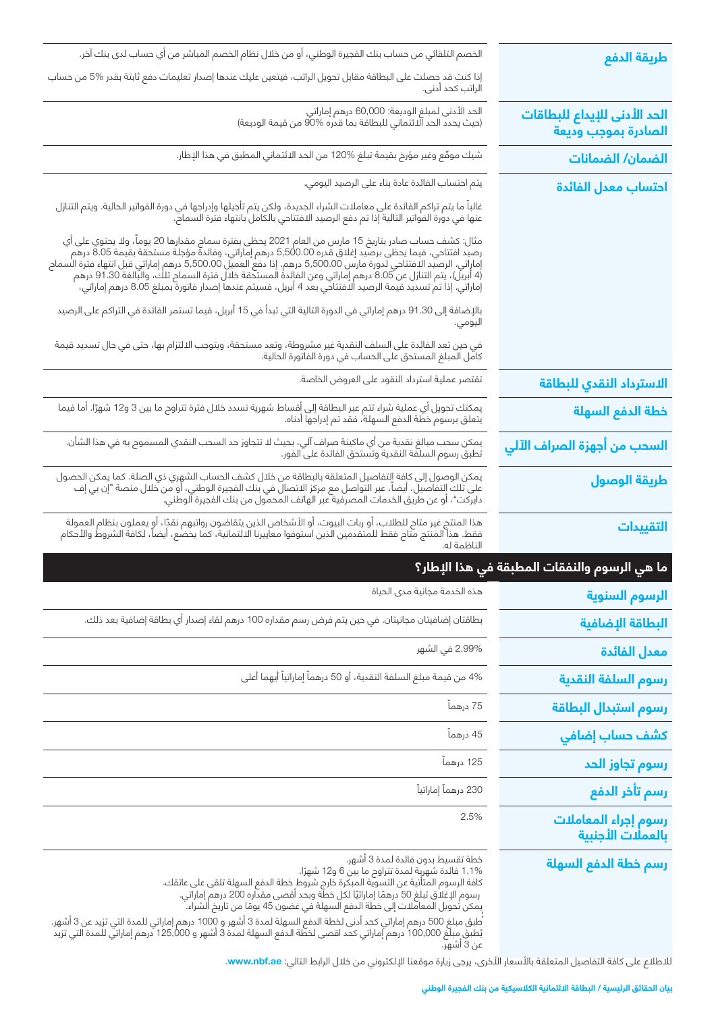| طريقة الدفع                                         | الخصم التلقائي من حساب بنك الفجيرة الوطني، أو من خلال نظام الخصم المباشر من أي حساب لدى بنك آخر.                                                                                                                                                                                                                                                                                                                                                                                                                                                                                                      |
|-----------------------------------------------------|-------------------------------------------------------------------------------------------------------------------------------------------------------------------------------------------------------------------------------------------------------------------------------------------------------------------------------------------------------------------------------------------------------------------------------------------------------------------------------------------------------------------------------------------------------------------------------------------------------|
|                                                     | إذا كنت قد حصلت على البطاقة مقابل تحويل الراتب، فيتعين عليك عندها إصدار تعليمات دفع ثابتة بقدر %5 من حساب<br>اْلراتب كحد أدنى.                                                                                                                                                                                                                                                                                                                                                                                                                                                                        |
| الحد الأدنى للإيداع للبطاقات<br>الصادرة بموجب وديعة | الحد الأدنى لمبلغ الوديعة: 60,000 درهم إماراتي<br>(حيث يحدد الحد الائتماني للبطاقة بما قدره %90 من قيمة الوديعة)                                                                                                                                                                                                                                                                                                                                                                                                                                                                                      |
| الضمان/ الضمانات                                    | شيك موقّع وغير مؤرخ بقيمة تبلغ %120 من الحد الائتماني المطبق في هذا الإطار.                                                                                                                                                                                                                                                                                                                                                                                                                                                                                                                           |
|                                                     | يتم احتساب الفائدة عادة بناء على الرصيد اليومي.                                                                                                                                                                                                                                                                                                                                                                                                                                                                                                                                                       |
| احتساب معدل الفائدة                                 | غالباً ما يتم تراكم الفائدة على معاملات الشراء الجديدة، ولكن يتم تأجيلها وإدراجها في دورة الفواتير الحالية. ويتم التنازل<br>عنها في دورة الفواتير التالية إذا تم دفع الرصيد الافتتاحي بالكامل بانتهاء فترة السماح.                                                                                                                                                                                                                                                                                                                                                                                    |
|                                                     | مثال: كشف حساب صادر بتاريخ 15 مارس من العام 2021 يحظى بفترة سماح مقدارها 20 يوماً، ولا يحتوي على أي<br>رصيد افتتاحي، فيما يحظى برصيد إغلاق قدره 5,500.00 درهم إماراتي، وفائدة مؤجلة مستحقة بقيمة 8.05 درهم<br>إماراتي. الرصيد الافت                                                                                                                                                                                                                                                                                                                                                                   |
|                                                     | بالإضافة إلى 91.30 درهم إماراتي في الدورة التالية التي تبدأ في 15 أبريل، فيما تستمر الفائدة في التراكم على الرصيد<br>اليومي.                                                                                                                                                                                                                                                                                                                                                                                                                                                                          |
|                                                     | في حين تعد الفائدة على السلف النقدية غير مشروطة، وتعد مستحقة، ويتوجب الالتزام بها، حتى في حال تسديد قيمة<br>كامل المبلغ المستحق على الحساب في دورة الفاتورة الحالية.                                                                                                                                                                                                                                                                                                                                                                                                                                  |
| الاسترداد النقدي للبطاقة                            | تقتصر عملية استرداد النقود على العروض الخاصة.                                                                                                                                                                                                                                                                                                                                                                                                                                                                                                                                                         |
| خطة الدفع السهلة                                    | يمكنك تحويل أي عملية شراء تتم عبر البطاقة إلى أقساط شهرية تسدد خلال فترة تتراوح ما بين 3 و12 شهرًا. أما فيما<br>يتعلق برسوم خطة الدفع السهلة، فقد تم إدراجها أدناه.                                                                                                                                                                                                                                                                                                                                                                                                                                   |
| السحب من أجهزة الصراف الآلي                         | يمكن سحب مبالغ نقدية من أي ماكينة صراف آلي، بحيث لا تتجاوز حد السحب النقدي المسموح به في هذا الشأن.<br>تطبق رسوم السلفة النقدية وتستحق الفائدة على الفور.                                                                                                                                                                                                                                                                                                                                                                                                                                             |
| طريقة الوصول                                        | يمكن الوصول إلى كافة التفاصيل المتعلقة بالبطاقة من خلال كشف الحساب الشهري ذي الصلة. كما يمكن الحصول<br>على تلك التفاصيل، أيضاً، عبر التواصل مع مركز الاتصال في بنك الفجيرة الوطني، أو من خلال منصة "إن بي إف<br>دايركت"، أو عن طريق                                                                                                                                                                                                                                                                                                                                                                   |
| التقييدات                                           | هذا المنتج غير متاح للطلاب، أو ربات البيوت، أو الأشخاص الذين يتقاضون رواتبهم نقدًا، أو يعملون بنظام العمولة<br>فقط. هذا المنتج متاح فقط للمتقدمين الذين استوفوا معاييرنا الائتمانية، كما يخضع، أيضاً، لكافة الشروط والأحكام<br>الذل<br>الناظمة له                                                                                                                                                                                                                                                                                                                                                     |
| ما هي الرسوم والنفقات المطبقة في هذا الإطار؟        |                                                                                                                                                                                                                                                                                                                                                                                                                                                                                                                                                                                                       |
| الرسوم السنوية                                      | هذه الخدمة مجانية مدى الحياة                                                                                                                                                                                                                                                                                                                                                                                                                                                                                                                                                                          |
| البطاقة الإضافية                                    | بطاقتان إضافيتان مجانيتان. في حين يتم فرض رسم مقداره 100 درهم لقاء إصدار أي بطاقة إضافية بعد ذلك.                                                                                                                                                                                                                                                                                                                                                                                                                                                                                                     |
| معدل الفائدة                                        | 2.99% في الشهر                                                                                                                                                                                                                                                                                                                                                                                                                                                                                                                                                                                        |
| رسوم السلفة النقدية                                 | 4% من قيمة مبلغ السلفة النقدية، أو 50 درهماً إماراتياً أيهما أعلى                                                                                                                                                                                                                                                                                                                                                                                                                                                                                                                                     |
| رسوم استبدال البطاقة                                | 75 درهماً                                                                                                                                                                                                                                                                                                                                                                                                                                                                                                                                                                                             |
| كشف حساب إضافي                                      | 45 درهماً                                                                                                                                                                                                                                                                                                                                                                                                                                                                                                                                                                                             |
| رسوم تجاوز الحد                                     | 125 درهماً                                                                                                                                                                                                                                                                                                                                                                                                                                                                                                                                                                                            |
| رسم تأخر الدفع                                      | 230 درهماً إماراتياً                                                                                                                                                                                                                                                                                                                                                                                                                                                                                                                                                                                  |
| رسوم إجراء المعاملات<br>بالعملات الأجنبية           | 2.5%                                                                                                                                                                                                                                                                                                                                                                                                                                                                                                                                                                                                  |
| رسم خطة الدفع السهلة                                | خطة تقسيط بدون فائدة لمدة 3 أشهر.<br>1.1% فائدة شهرية لمدة تتراوح ما بين 6 و12 شهرًا.<br>كافة الرسوم المتأتية عن التسوية المبكرة خارج شروط ِخطة الدفع السهلة تلقى على عاتقك.<br>رسوم الإغلاق تبلغ 50 درهمًا إماراتيًا لكل خطّة وبحد أقصى مقدّاره 200 درهم إماراتي.<br>يمكن تحويل المعاملات إلى خطة الدفع السهلة في غضون 45 يومًا من تاريخ الشراء. ۖ<br>ُطبق مبلغ 500 درهم إماراتي كحد أدنى لخطة الدفع السهلة لمدة 3 أشهر و 1000 درهم إماراتي للمدة التي تزيد عن 3 أشهر.<br>يُطبق مبلغ 100,000 درهم إماراتي كحد اقصى لخطة الدفع السهلة لمدة 3 أشهر و 125,000 درهم إماراتي للمدة التي تزي<br>عن 3 أشهر. |

للاطلاع على كافة التفاصيل المتعلقة بالأسعار الأخرى، يرجى زيارة موقعنا الإلكتروني من خلال الرابط التالي: <mark>www.nbf.ae.</mark>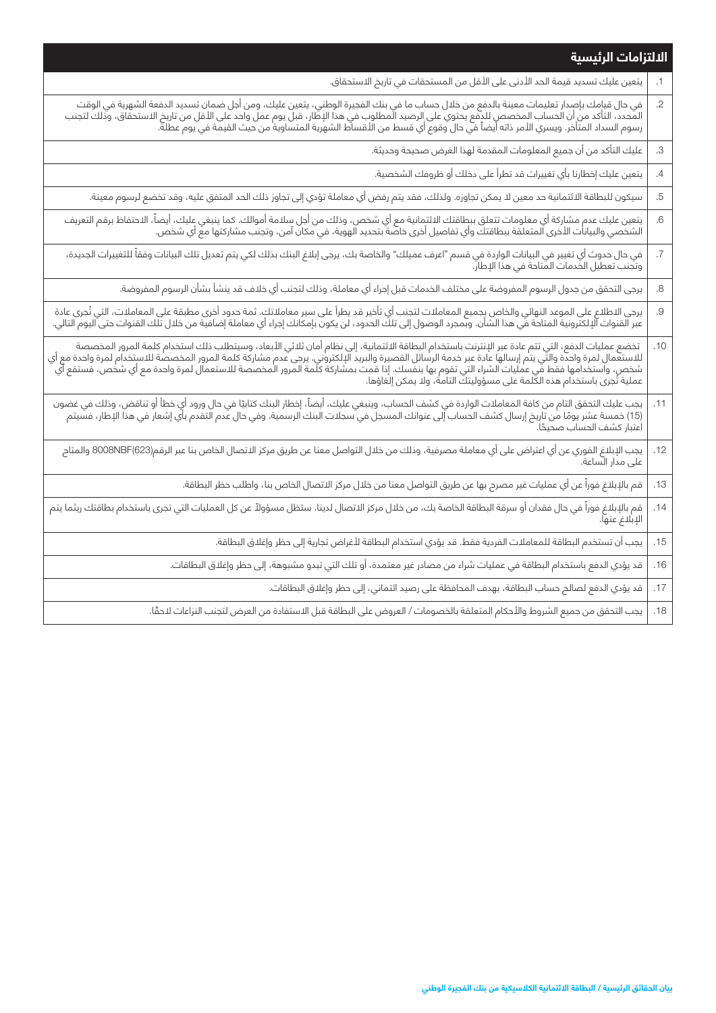### **االلتزامات الرئيسية**

| يتعين عليك تسديد قيمة الحد الأدنى على الأقل من المستحقات في تاريخ الاستحقاق.                                                                                                                                                     | $\cdot$ 1 |
|----------------------------------------------------------------------------------------------------------------------------------------------------------------------------------------------------------------------------------|-----------|
| في حال قيامك بإصدار تعليمات معينة بالدفع من خلال حساب ما في بنك الفجيرة الوطني، يتعين عليك، ومن أجل ضمان تسديد الدفعة الشهرية في الوقت<br>المحدد، التأكد من أن الحساب المخصص للدفع يحتوي على الرصيد المطلوب في هذا الإطار، قبل ي | $.2\,$    |
| عليك التأكد من أن جميع المعلومات المقدمة لهذا الغرض صحيحة وحديثة.                                                                                                                                                                | $.3\,$    |
| يتعين عليك إخطارنا بأي تغييرات قد تطرأ على دخلك أو ظروفك الشخصية.                                                                                                                                                                | $.4\,$    |
| سيكون للبطاقة الائتمانية حد معين لا يمكن تجاوزه. ولذلك، فقد يتم رفض أي معاملة تؤدي إلى تجاوز ذلك الحد المتفق عليه، وقد تخضع لرسوم معينة.                                                                                         | $.5\,$    |
| يتعين عليك عدم مشاركة أي معلومات تتعلق ببطاقتك الائتمانية مع أي شخص، وذلك من أجل سلامة أموالك. كما ينبغي عليك، أيضاً، الاحتفاظ برقم التعريف<br>الشخصي والبيانات الأخرى المتعلقة ببطاقتك وأي تفاصيل أخرى خاصة بتحديد الهوية، في م | .6        |
| .<br>في حال حدوث أي تغيير في البيانات الواردة في قسم "اعرف عميلك" والخاصة بك، يرجى إبلاغ البنك بذلك لكي يتم تعديل تلك البيانات وفقاً للتغييرات الجديدة،<br>وتجنب تعطيل الخدمات المتاحة في هذا الإطار.                            | $.7\,$    |
| يرجى التحقق من جدول الرسوم المفروضة على مختلف الخدمات قبل إجراء أي معاملة، وذلك لتجنب أي خلاف قد ينشأ بشأن الرسوم المفروضة.                                                                                                      | $.8\,$    |
| يرجى الاطلاع على الموعد النهائي والخاص بجميع المعاملات لتجنب أي تأخير قد يطرأ على سير معاملاتك. ثمة حدود أخرى مطبقة على المعاملات، التي تُجرى عادة<br>عبر القنوات الإلكترونية المتاحة في هذا الشأن. وبمجرد الوصول إلى تلك الحدود | .9        |
| تخضع عمليات الدفع، التي تتم عادة عبر الإنترنت باستخدام البطاقة الائتمانية، إلى نظام أمان ثلاثي الأبعاد، وسيتطلب ذلك استخدام لكلمة المرور المخصصة<br>للاستعمال لمرة واحدة والتي يتم إرسالها عادة عبر خدمة الرسائل القصيرة والبريد | .10       |
| يجب عليك التحقق التام من كافة المعاملات الواردة في كشف الحساب، وينبغي عليك، أيضاً، إخطار البنك كتابيًا في حال ورود أي خطأ أو تناقض، وذلك في غضون<br>(15) خمسة عشر يومًا من تاريخ إرسال كشف الحساب إلى عنوانك المسجل في سجلات الب | .11       |
|                                                                                                                                                                                                                                  | .12       |
| قم بالإبلاغ فوراً عن أي عمليات غير مصرح بها عن طريق التواصل معنا من خلال مركز الاتصال الخاص بنا، واطلب حظر البطاقة.                                                                                                              | .13       |
|                                                                                                                                                                                                                                  | .14       |
| يجب أن تستخدم البطاقة للمعاملات الفردية فقط. قد يؤدي استخدام البطاقة لأغراض تجارية إلى حظر وإغلاق البطاقة.                                                                                                                       | .15       |
| قد يؤدي الدفع باستخدام البطاقة في عمليات شراء من مصادر غير معتمدة، أو تلك التي تبدو مشبوهة، إلى حظر وإغلاق البطاقات.                                                                                                             | .16       |
| قد يؤدي الدفع لصالح حساب البطاقة، بهدف المحافظة على رصيد ائتماني، إلى حظر وإغلاق البطاقات.                                                                                                                                       | .17       |
| يجب التحقق من جميع الشروط والأحكام المتعلقة بالخصومات / العروض على البطاقة قبل الاستفادة من العرض لتجنب النزاعات لاحقًا.                                                                                                         | .18       |